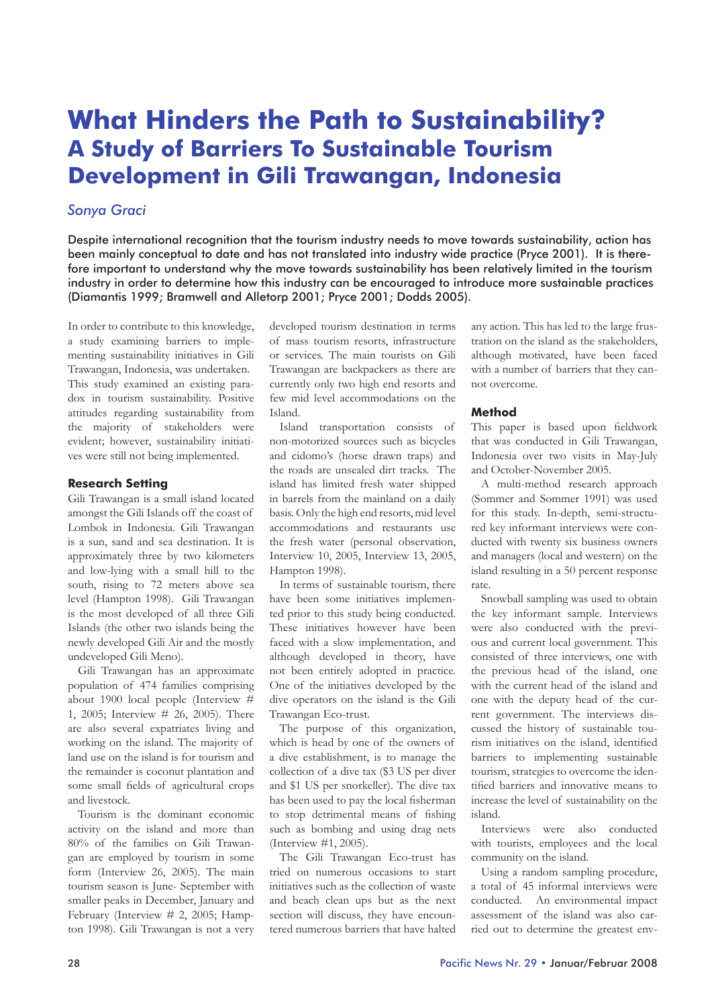# **What Hinders the Path to Sustainability? A Study of Barriers To Sustainable Tourism Development in Gili Trawangan, Indonesia**

# *Sonya Graci*

Despite international recognition that the tourism industry needs to move towards sustainability, action has been mainly conceptual to date and has not translated into industry wide practice (Pryce 2001). It is therefore important to understand why the move towards sustainability has been relatively limited in the tourism industry in order to determine how this industry can be encouraged to introduce more sustainable practices (Diamantis 1999; Bramwell and Alletorp 2001; Pryce 2001; Dodds 2005).

In order to contribute to this knowledge, a study examining barriers to implementing sustainability initiatives in Gili Trawangan, Indonesia, was undertaken. This study examined an existing paradox in tourism sustainability. Positive attitudes regarding sustainability from the majority of stakeholders were evident; however, sustainability initiatives were still not being implemented.

#### **Research Setting**

Gili Trawangan is a small island located amongst the Gili Islands off the coast of Lombok in Indonesia. Gili Trawangan is a sun, sand and sea destination. It is approximately three by two kilometers and low-lying with a small hill to the south, rising to 72 meters above sea level (Hampton 1998). Gili Trawangan is the most developed of all three Gili Islands (the other two islands being the newly developed Gili Air and the mostly undeveloped Gili Meno).

Gili Trawangan has an approximate population of 474 families comprising about 1900 local people (Interview # 1, 2005; Interview # 26, 2005). There are also several expatriates living and working on the island. The majority of land use on the island is for tourism and the remainder is coconut plantation and some small fields of agricultural crops and livestock.

Tourism is the dominant economic activity on the island and more than 80% of the families on Gili Trawangan are employed by tourism in some form (Interview 26, 2005). The main tourism season is June- September with smaller peaks in December, January and February (Interview # 2, 2005; Hampton 1998). Gili Trawangan is not a very

developed tourism destination in terms of mass tourism resorts, infrastructure or services. The main tourists on Gili Trawangan are backpackers as there are currently only two high end resorts and few mid level accommodations on the Island.

Island transportation consists of non-motorized sources such as bicycles and cidomo's (horse drawn traps) and the roads are unsealed dirt tracks. The island has limited fresh water shipped in barrels from the mainland on a daily basis. Only the high end resorts, mid level accommodations and restaurants use the fresh water (personal observation, Interview 10, 2005, Interview 13, 2005, Hampton 1998).

In terms of sustainable tourism, there have been some initiatives implemented prior to this study being conducted. These initiatives however have been faced with a slow implementation, and although developed in theory, have not been entirely adopted in practice. One of the initiatives developed by the dive operators on the island is the Gili Trawangan Eco-trust.

The purpose of this organization. which is head by one of the owners of a dive establishment, is to manage the collection of a dive tax (\$3 US per diver and \$1 US per snorkeller). The dive tax has been used to pay the local fisherman to stop detrimental means of fishing such as bombing and using drag nets (Interview #1, 2005).

The Gili Trawangan Eco-trust has tried on numerous occasions to start initiatives such as the collection of waste and beach clean ups but as the next section will discuss, they have encountered numerous barriers that have halted any action. This has led to the large frustration on the island as the stakeholders, although motivated, have been faced with a number of barriers that they cannot overcome.

# **Method**

This paper is based upon fieldwork that was conducted in Gili Trawangan, Indonesia over two visits in May-July and October-November 2005.

A multi-method research approach (Sommer and Sommer 1991) was used for this study. In-depth, semi-structured key informant interviews were conducted with twenty six business owners and managers (local and western) on the island resulting in a 50 percent response rate.

Snowball sampling was used to obtain the key informant sample. Interviews were also conducted with the previous and current local government. This consisted of three interviews, one with the previous head of the island, one with the current head of the island and one with the deputy head of the current government. The interviews discussed the history of sustainable tourism initiatives on the island, identified barriers to implementing sustainable tourism, strategies to overcome the identified barriers and innovative means to increase the level of sustainability on the island.

Interviews were also conducted with tourists, employees and the local community on the island.

Using a random sampling procedure, a total of 45 informal interviews were conducted. An environmental impact assessment of the island was also carried out to determine the greatest env-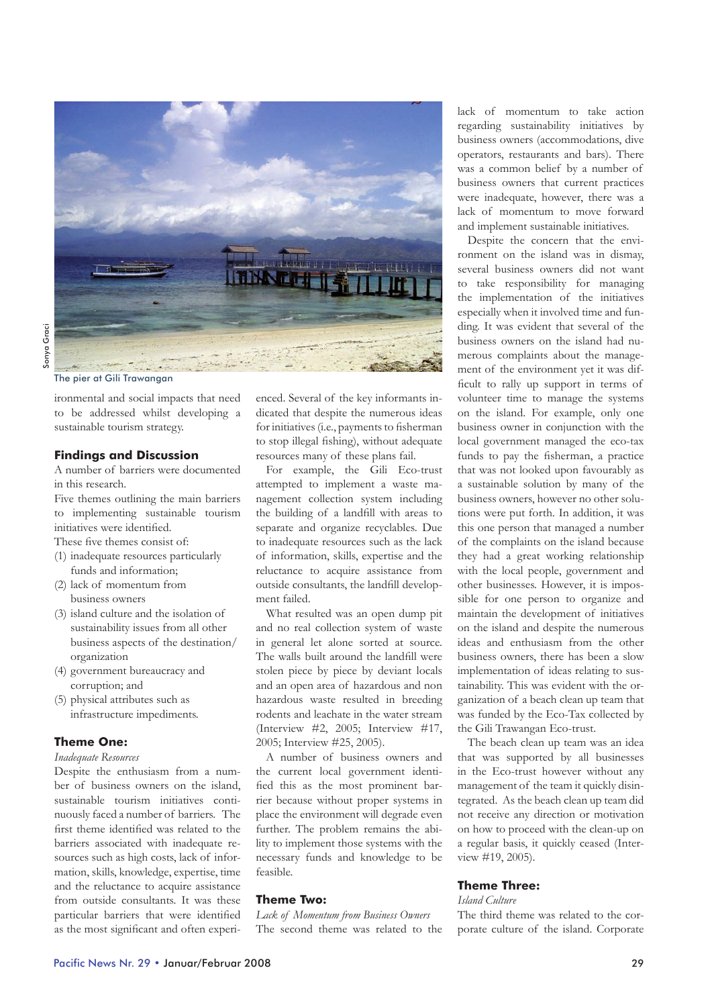

The pier at Gili Trawangan

ironmental and social impacts that need to be addressed whilst developing a sustainable tourism strategy.

# **Findings and Discussion**

A number of barriers were documented in this research.

Five themes outlining the main barriers to implementing sustainable tourism initiatives were identified.

These five themes consist of:

- (1) inadequate resources particularly funds and information;
- (2) lack of momentum from business owners
- (3) island culture and the isolation of sustainability issues from all other business aspects of the destination/ organization
- (4) government bureaucracy and corruption; and
- (5) physical attributes such as infrastructure impediments.

# **Theme One:**

#### *Inadequate Resources*

Despite the enthusiasm from a number of business owners on the island, sustainable tourism initiatives continuously faced a number of barriers. The first theme identified was related to the barriers associated with inadequate resources such as high costs, lack of information, skills, knowledge, expertise, time and the reluctance to acquire assistance from outside consultants. It was these particular barriers that were identified as the most significant and often experienced. Several of the key informants indicated that despite the numerous ideas for initiatives (i.e., payments to fisherman to stop illegal fishing), without adequate resources many of these plans fail.

For example, the Gili Eco-trust attempted to implement a waste management collection system including the building of a landfill with areas to separate and organize recyclables. Due to inadequate resources such as the lack of information, skills, expertise and the reluctance to acquire assistance from outside consultants, the landfill development failed.

What resulted was an open dump pit and no real collection system of waste in general let alone sorted at source. The walls built around the landfill were stolen piece by piece by deviant locals and an open area of hazardous and non hazardous waste resulted in breeding rodents and leachate in the water stream (Interview #2, 2005; Interview #17, 2005; Interview #25, 2005).

A number of business owners and the current local government identified this as the most prominent barrier because without proper systems in place the environment will degrade even further. The problem remains the ability to implement those systems with the necessary funds and knowledge to be feasible.

#### **Theme Two:**

*Lack of Momentum from Business Owners* The second theme was related to the lack of momentum to take action regarding sustainability initiatives by business owners (accommodations, dive operators, restaurants and bars). There was a common belief by a number of business owners that current practices were inadequate, however, there was a lack of momentum to move forward and implement sustainable initiatives.

Despite the concern that the environment on the island was in dismay, several business owners did not want to take responsibility for managing the implementation of the initiatives especially when it involved time and funding. It was evident that several of the business owners on the island had numerous complaints about the management of the environment yet it was difficult to rally up support in terms of volunteer time to manage the systems on the island. For example, only one business owner in conjunction with the local government managed the eco-tax funds to pay the fisherman, a practice that was not looked upon favourably as a sustainable solution by many of the business owners, however no other solutions were put forth. In addition, it was this one person that managed a number of the complaints on the island because they had a great working relationship with the local people, government and other businesses. However, it is impossible for one person to organize and maintain the development of initiatives on the island and despite the numerous ideas and enthusiasm from the other business owners, there has been a slow implementation of ideas relating to sustainability. This was evident with the organization of a beach clean up team that was funded by the Eco-Tax collected by the Gili Trawangan Eco-trust.

The beach clean up team was an idea that was supported by all businesses in the Eco-trust however without any management of the team it quickly disintegrated. As the beach clean up team did not receive any direction or motivation on how to proceed with the clean-up on a regular basis, it quickly ceased (Interview #19, 2005).

#### **Theme Three:**

#### *Island Culture*

The third theme was related to the corporate culture of the island. Corporate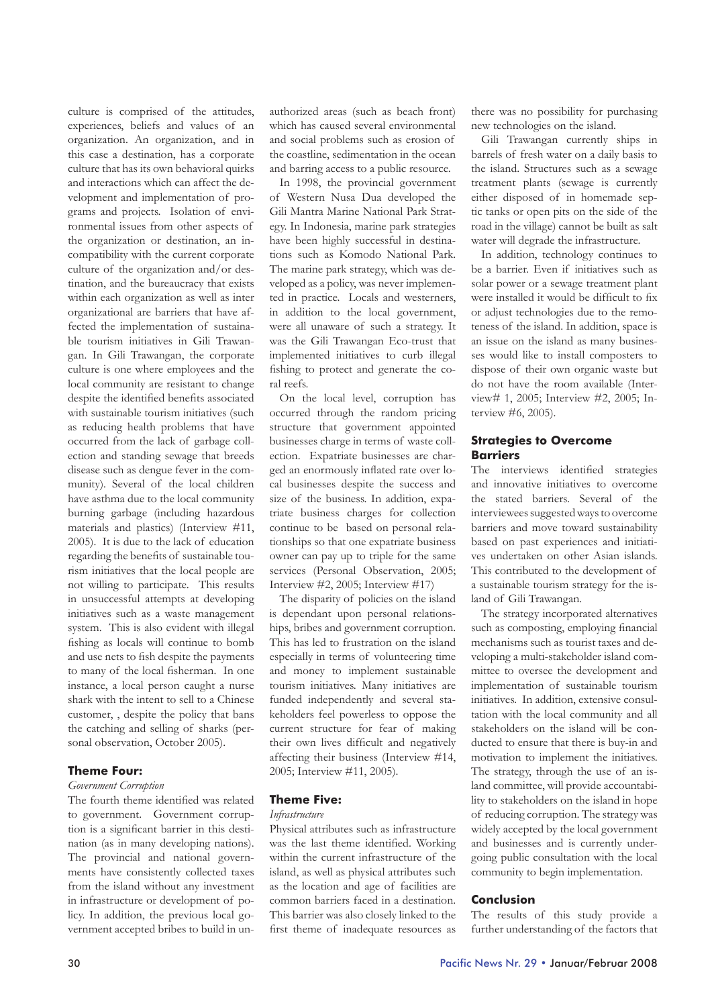culture is comprised of the attitudes, experiences, beliefs and values of an organization. An organization, and in this case a destination, has a corporate culture that has its own behavioral quirks and interactions which can affect the development and implementation of programs and projects. Isolation of environmental issues from other aspects of the organization or destination, an incompatibility with the current corporate culture of the organization and/or destination, and the bureaucracy that exists within each organization as well as inter organizational are barriers that have affected the implementation of sustainable tourism initiatives in Gili Trawangan. In Gili Trawangan, the corporate culture is one where employees and the local community are resistant to change despite the identified benefits associated with sustainable tourism initiatives (such as reducing health problems that have occurred from the lack of garbage collection and standing sewage that breeds disease such as dengue fever in the community). Several of the local children have asthma due to the local community burning garbage (including hazardous materials and plastics) (Interview #11, 2005). It is due to the lack of education regarding the benefits of sustainable tourism initiatives that the local people are not willing to participate. This results in unsuccessful attempts at developing initiatives such as a waste management system. This is also evident with illegal fishing as locals will continue to bomb and use nets to fish despite the payments to many of the local fisherman. In one instance, a local person caught a nurse shark with the intent to sell to a Chinese customer, , despite the policy that bans the catching and selling of sharks (personal observation, October 2005).

# **Theme Four:**

#### *Government Corruption*

The fourth theme identified was related to government. Government corruption is a significant barrier in this destination (as in many developing nations). The provincial and national governments have consistently collected taxes from the island without any investment in infrastructure or development of policy. In addition, the previous local government accepted bribes to build in un-

authorized areas (such as beach front) which has caused several environmental and social problems such as erosion of the coastline, sedimentation in the ocean and barring access to a public resource.

In 1998, the provincial government of Western Nusa Dua developed the Gili Mantra Marine National Park Strategy. In Indonesia, marine park strategies have been highly successful in destinations such as Komodo National Park. The marine park strategy, which was developed as a policy, was never implemented in practice. Locals and westerners, in addition to the local government, were all unaware of such a strategy. It was the Gili Trawangan Eco-trust that implemented initiatives to curb illegal fishing to protect and generate the coral reefs.

On the local level, corruption has occurred through the random pricing structure that government appointed businesses charge in terms of waste collection. Expatriate businesses are charged an enormously inflated rate over local businesses despite the success and size of the business. In addition, expatriate business charges for collection continue to be based on personal relationships so that one expatriate business owner can pay up to triple for the same services (Personal Observation, 2005; Interview #2, 2005; Interview #17)

The disparity of policies on the island is dependant upon personal relationships, bribes and government corruption. This has led to frustration on the island especially in terms of volunteering time and money to implement sustainable tourism initiatives. Many initiatives are funded independently and several stakeholders feel powerless to oppose the current structure for fear of making their own lives difficult and negatively affecting their business (Interview #14, 2005; Interview #11, 2005).

# **Theme Five:**

#### *Infrastructure*

Physical attributes such as infrastructure was the last theme identified. Working within the current infrastructure of the island, as well as physical attributes such as the location and age of facilities are common barriers faced in a destination. This barrier was also closely linked to the first theme of inadequate resources as

there was no possibility for purchasing new technologies on the island.

Gili Trawangan currently ships in barrels of fresh water on a daily basis to the island. Structures such as a sewage treatment plants (sewage is currently either disposed of in homemade septic tanks or open pits on the side of the road in the village) cannot be built as salt water will degrade the infrastructure.

In addition, technology continues to be a barrier. Even if initiatives such as solar power or a sewage treatment plant were installed it would be difficult to fix or adjust technologies due to the remoteness of the island. In addition, space is an issue on the island as many businesses would like to install composters to dispose of their own organic waste but do not have the room available (Interview# 1, 2005; Interview #2, 2005; Interview #6, 2005).

#### **Strategies to Overcome Barriers**

The interviews identified strategies and innovative initiatives to overcome the stated barriers. Several of the interviewees suggested ways to overcome barriers and move toward sustainability based on past experiences and initiatives undertaken on other Asian islands. This contributed to the development of a sustainable tourism strategy for the island of Gili Trawangan.

The strategy incorporated alternatives such as composting, employing financial mechanisms such as tourist taxes and developing a multi-stakeholder island committee to oversee the development and implementation of sustainable tourism initiatives. In addition, extensive consultation with the local community and all stakeholders on the island will be conducted to ensure that there is buy-in and motivation to implement the initiatives. The strategy, through the use of an island committee, will provide accountability to stakeholders on the island in hope of reducing corruption. The strategy was widely accepted by the local government and businesses and is currently undergoing public consultation with the local community to begin implementation.

# **Conclusion**

The results of this study provide a further understanding of the factors that